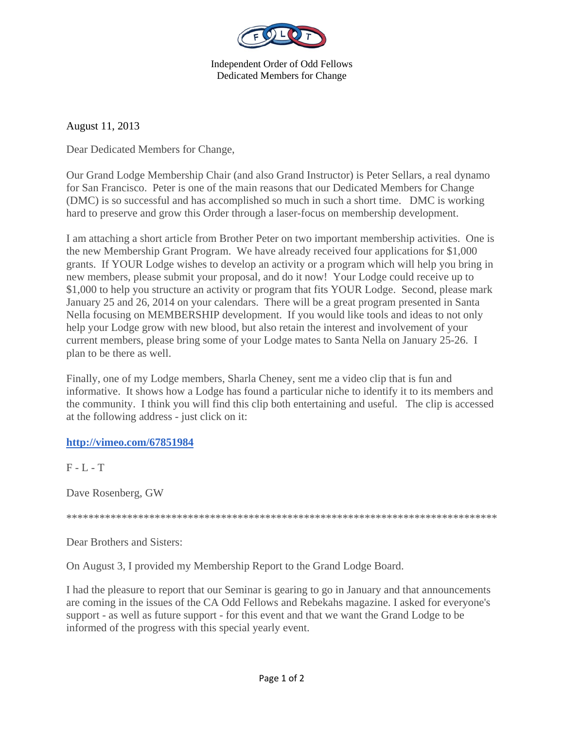

Independent Order of Odd Fellows Dedicated Members for Change

August 11, 2013

Dear Dedicated Members for Change,

Our Grand Lodge Membership Chair (and also Grand Instructor) is Peter Sellars, a real dynamo for San Francisco. Peter is one of the main reasons that our Dedicated Members for Change (DMC) is so successful and has accomplished so much in such a short time. DMC is working hard to preserve and grow this Order through a laser-focus on membership development.

I am attaching a short article from Brother Peter on two important membership activities. One is the new Membership Grant Program. We have already received four applications for \$1,000 grants. If YOUR Lodge wishes to develop an activity or a program which will help you bring in new members, please submit your proposal, and do it now! Your Lodge could receive up to \$1,000 to help you structure an activity or program that fits YOUR Lodge. Second, please mark January 25 and 26, 2014 on your calendars. There will be a great program presented in Santa Nella focusing on MEMBERSHIP development. If you would like tools and ideas to not only help your Lodge grow with new blood, but also retain the interest and involvement of your current members, please bring some of your Lodge mates to Santa Nella on January 25-26. I plan to be there as well.

Finally, one of my Lodge members, Sharla Cheney, sent me a video clip that is fun and informative. It shows how a Lodge has found a particular niche to identify it to its members and the community. I think you will find this clip both entertaining and useful. The clip is accessed at the following address - just click on it:

## **http://vimeo.com/67851984**

 $F - L - T$ 

Dave Rosenberg, GW

\*\*\*\*\*\*\*\*\*\*\*\*\*\*\*\*\*\*\*\*\*\*\*\*\*\*\*\*\*\*\*\*\*\*\*\*\*\*\*\*\*\*\*\*\*\*\*\*\*\*\*\*\*\*\*\*\*\*\*\*\*\*\*\*\*\*\*\*\*\*\*\*\*\*\*\*\*\*

Dear Brothers and Sisters:

On August 3, I provided my Membership Report to the Grand Lodge Board.

I had the pleasure to report that our Seminar is gearing to go in January and that announcements are coming in the issues of the CA Odd Fellows and Rebekahs magazine. I asked for everyone's support - as well as future support - for this event and that we want the Grand Lodge to be informed of the progress with this special yearly event.